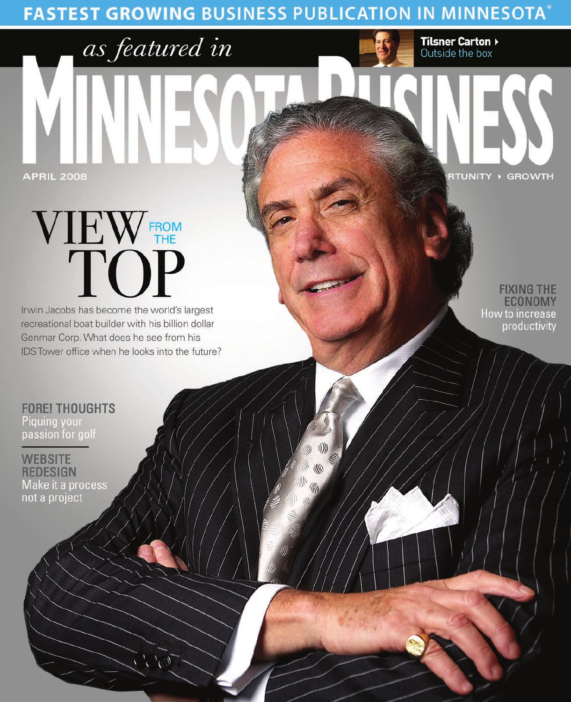**FASTEST GROWING BUSINESS PUBLICATION IN MINNESOTA\*** 



# VIEW FROM

as featured in

Irwin Jacobs has become the world's largest recreational boat builder with his billion dollar Genmar Corp. What does he see from his IDS Tower office when he looks into the future?

**FIXING THE ECONOMY** How to increase productivity

**RTUNITY > GROWTH** 

**Tilsner Carton >**<br>Outside the box

**FORE! THOUGHTS** Piquing your passion for golf

**WEBSITE REDESIGN** Make it a process not a project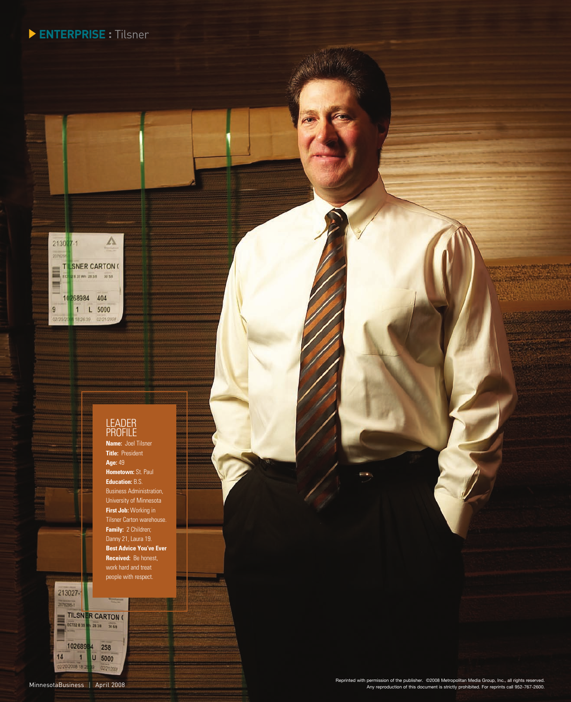## **ENTERPRISE :** Tilsner



#### LEADER Profile

**Name:** Joel Tilsner **Title:** President **Age:** 49 **Hometown:** St. Paul **Education:** B.S. Business Administration, University of Minnesota **First Job:** Working in Tilsner Carton warehouse. **Family:** 2 Children; **Best Advice You've Ever Received:** Be honest, people with respect.

213027-1 2076295.1

E

 $14$ 2/20/2008 18:20

TILSNER CARTON (

10268984 258 1 U 5000

g 02/21/20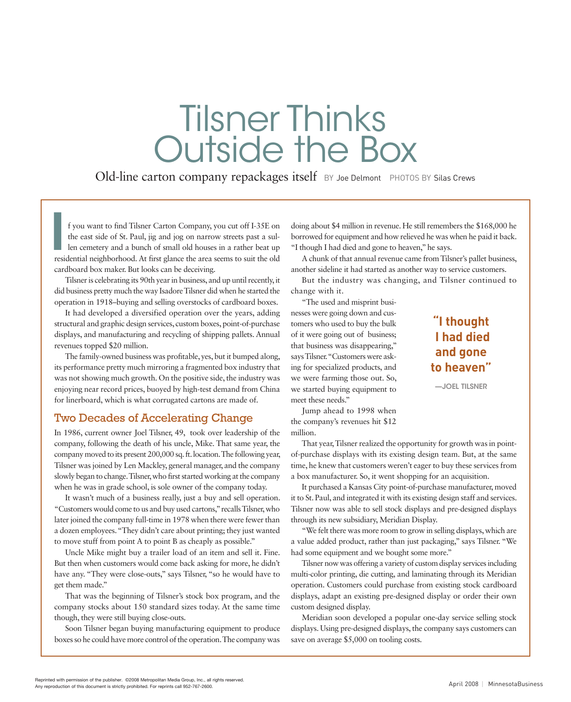# Tilsner Thinks Outside the Box

Old-line carton company repackages itself BY Joe Delmont PHOTOS BY Silas Crews

**I** residential neighborhood. At first glance the area seems to suit the old f you want to find Tilsner Carton Company, you cut off I-35E on the east side of St. Paul, jig and jog on narrow streets past a sullen cemetery and a bunch of small old houses in a rather beat up cardboard box maker. But looks can be deceiving.

Tilsner is celebrating its 90th year in business, and up until recently, it did business pretty much the way Isadore Tilsner did when he started the operation in 1918–buying and selling overstocks of cardboard boxes.

It had developed a diversified operation over the years, adding structural and graphic design services, custom boxes, point-of-purchase displays, and manufacturing and recycling of shipping pallets. Annual revenues topped \$20 million.

The family-owned business was profitable, yes, but it bumped along, its performance pretty much mirroring a fragmented box industry that was not showing much growth. On the positive side, the industry was enjoying near record prices, buoyed by high-test demand from China for linerboard, which is what corrugated cartons are made of.

#### Two Decades of Accelerating Change

In 1986, current owner Joel Tilsner, 49, took over leadership of the company, following the death of his uncle, Mike. That same year, the company moved to its present 200,000 sq. ft. location. The following year, Tilsner was joined by Len Mackley, general manager, and the company slowly began to change. Tilsner, who first started working at the company when he was in grade school, is sole owner of the company today.

It wasn't much of a business really, just a buy and sell operation. "Customers would come to us and buy used cartons," recalls Tilsner, who later joined the company full-time in 1978 when there were fewer than a dozen employees. "They didn't care about printing; they just wanted to move stuff from point A to point B as cheaply as possible."

Uncle Mike might buy a trailer load of an item and sell it. Fine. But then when customers would come back asking for more, he didn't have any. "They were close-outs," says Tilsner, "so he would have to get them made."

That was the beginning of Tilsner's stock box program, and the company stocks about 150 standard sizes today. At the same time though, they were still buying close-outs.

Soon Tilsner began buying manufacturing equipment to produce boxes so he could have more control of the operation. The company was

doing about \$4 million in revenue. He still remembers the \$168,000 he borrowed for equipment and how relieved he was when he paid it back. "I though I had died and gone to heaven," he says.

A chunk of that annual revenue came from Tilsner's pallet business, another sideline it had started as another way to service customers.

But the industry was changing, and Tilsner continued to change with it.

"The used and misprint businesses were going down and customers who used to buy the bulk of it were going out of business; that business was disappearing," says Tilsner. "Customers were asking for specialized products, and we were farming those out. So, we started buying equipment to meet these needs."

Jump ahead to 1998 when the company's revenues hit \$12 million.

That year, Tilsner realized the opportunity for growth was in pointof-purchase displays with its existing design team. But, at the same time, he knew that customers weren't eager to buy these services from a box manufacturer. So, it went shopping for an acquisition.

It purchased a Kansas City point-of-purchase manufacturer, moved it to St. Paul, and integrated it with its existing design staff and services. Tilsner now was able to sell stock displays and pre-designed displays through its new subsidiary, Meridian Display.

"We felt there was more room to grow in selling displays, which are a value added product, rather than just packaging," says Tilsner. "We had some equipment and we bought some more."

Tilsner now was offering a variety of custom display services including multi-color printing, die cutting, and laminating through its Meridian operation. Customers could purchase from existing stock cardboard displays, adapt an existing pre-designed display or order their own custom designed display.

Meridian soon developed a popular one-day service selling stock displays. Using pre-designed displays, the company says customers can save on average \$5,000 on tooling costs.

# **I had died and gone to heaven"**  —Joel tilsner

**"I thought**

Reprinted with permission of the publisher. ©2008 Metropolitan Media Group, Inc., all rights reserved. Any reproduction of this document is strictly prohibited. For reprints call 952-767-2600.